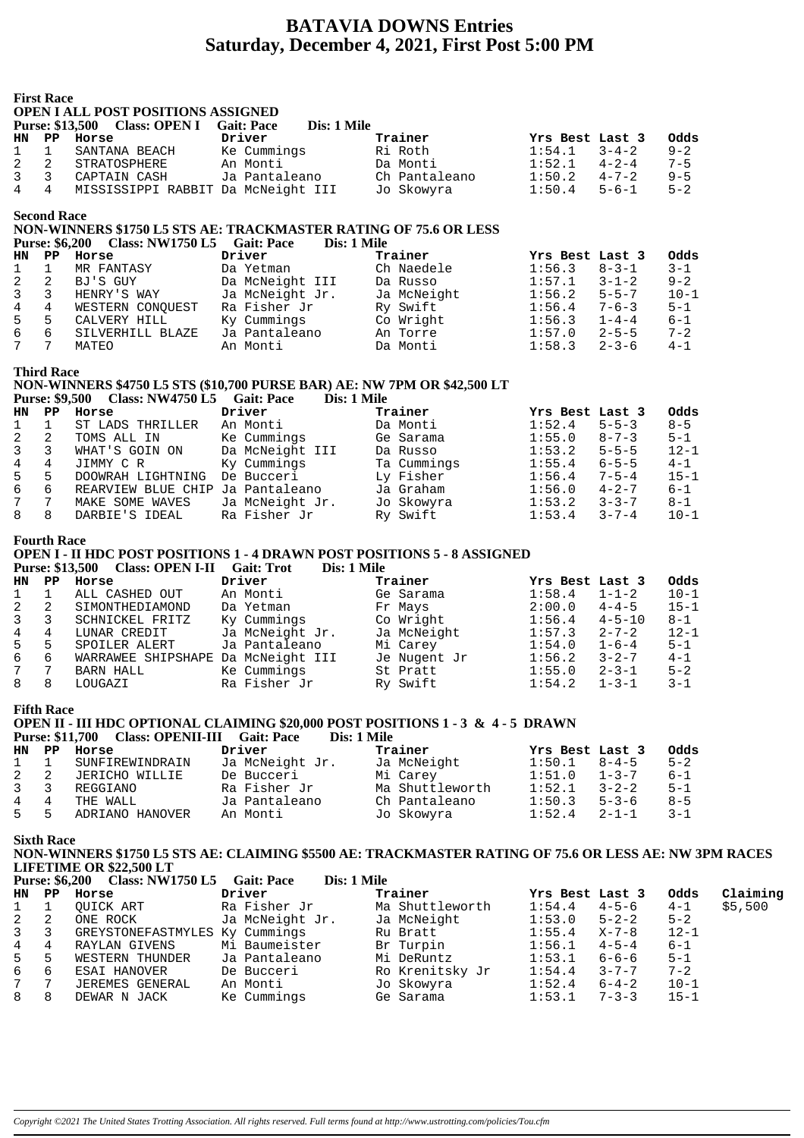## **BATAVIA DOWNS Entries Saturday, December 4, 2021, First Post 5:00 PM**

|                | <b>First Race</b>                                                                                                                                          | <b>OPEN I ALL POST POSITIONS ASSIGNED</b><br>Purse: \$13,500 Class: OPEN I                                                                                                 | <b>Gait: Pace</b>            | Dis: 1 Mile |                               |                           |                            |                        |          |  |  |  |
|----------------|------------------------------------------------------------------------------------------------------------------------------------------------------------|----------------------------------------------------------------------------------------------------------------------------------------------------------------------------|------------------------------|-------------|-------------------------------|---------------------------|----------------------------|------------------------|----------|--|--|--|
| HN.<br>1       | $\mathbf{P} \mathbf{P}$<br>$\mathbf{1}$                                                                                                                    | Horse<br>SANTANA BEACH                                                                                                                                                     | Driver<br>Ke Cummings        |             | Trainer<br>Ri Roth            | Yrs Best Last 3<br>1:54.1 | $3 - 4 - 2$                | Odds<br>$9 - 2$        |          |  |  |  |
| 2              | 2                                                                                                                                                          | STRATOSPHERE                                                                                                                                                               | An Monti                     |             | Da Monti                      | 1:52.1                    | $4 - 2 - 4$                | $7 - 5$                |          |  |  |  |
| 3              | 3                                                                                                                                                          | CAPTAIN CASH                                                                                                                                                               | Ja Pantaleano                |             | Ch Pantaleano                 | 1:50.2                    | $4 - 7 - 2$                | $9 - 5$                |          |  |  |  |
| 4              | 4                                                                                                                                                          | MISSISSIPPI RABBIT Da McNeight III                                                                                                                                         |                              |             | Jo Skowyra                    | 1:50.4                    | $5 - 6 - 1$                | $5 - 2$                |          |  |  |  |
|                | <b>Second Race</b><br><b>Purse: \$6,200</b>                                                                                                                | NON-WINNERS \$1750 L5 STS AE: TRACKMASTER RATING OF 75.6 OR LESS<br>Class: NW1750 L5 Gait: Pace                                                                            |                              | Dis: 1 Mile |                               |                           |                            |                        |          |  |  |  |
| HN             | PP                                                                                                                                                         | Horse                                                                                                                                                                      | Driver                       |             | Trainer                       | Yrs Best Last 3           |                            | Odds                   |          |  |  |  |
| 1<br>2         | $\mathbf{1}$<br>2                                                                                                                                          | MR FANTASY<br>BJ'S GUY                                                                                                                                                     | Da Yetman<br>Da McNeight III |             | Ch Naedele<br>Da Russo        | 1:56.3<br>1:57.1          | $8 - 3 - 1$<br>$3 - 1 - 2$ | $3 - 1$<br>$9 - 2$     |          |  |  |  |
| 3              | 3                                                                                                                                                          | HENRY'S WAY                                                                                                                                                                | Ja McNeight Jr.              |             | Ja McNeight                   | 1:56.2                    | $5 - 5 - 7$                | $10 - 1$               |          |  |  |  |
| 4              | 4                                                                                                                                                          | WESTERN CONQUEST                                                                                                                                                           | Ra Fisher Jr                 |             | Ry Swift                      | 1:56.4                    | $7 - 6 - 3$                | $5 - 1$                |          |  |  |  |
| 5              | 5                                                                                                                                                          | CALVERY HILL                                                                                                                                                               | Ky Cummings                  |             | Co Wright                     | 1:56.3                    | $1 - 4 - 4$                | $6 - 1$                |          |  |  |  |
| $\epsilon$     | 6                                                                                                                                                          | SILVERHILL BLAZE                                                                                                                                                           | Ja Pantaleano                |             | An Torre                      | 1:57.0                    | $2 - 5 - 5$                | $7 - 2$                |          |  |  |  |
| 7              | 7                                                                                                                                                          | MATEO                                                                                                                                                                      | An Monti                     |             | Da Monti                      | 1:58.3                    | $2 - 3 - 6$                | $4 - 1$                |          |  |  |  |
|                | <b>Third Race</b><br>NON-WINNERS \$4750 L5 STS (\$10,700 PURSE BAR) AE: NW 7PM OR \$42,500 LT<br>Purse: \$9,500 Class: NW4750 L5 Gait: Pace<br>Dis: 1 Mile |                                                                                                                                                                            |                              |             |                               |                           |                            |                        |          |  |  |  |
| <b>HN</b><br>1 | $\mathbf{P} \mathbf{P}$<br>$\mathbf 1$                                                                                                                     | Horse                                                                                                                                                                      | Driver                       |             | Trainer                       | Yrs Best Last 3<br>1:52.4 | $5 - 5 - 3$                | <b>Odds</b><br>$8 - 5$ |          |  |  |  |
| 2              | 2                                                                                                                                                          | ST LADS THRILLER<br>TOMS ALL IN                                                                                                                                            | An Monti<br>Ke Cummings      |             | Da Monti<br>Ge Sarama         | 1:55.0                    | $8 - 7 - 3$                | $5 - 1$                |          |  |  |  |
| 3              | 3                                                                                                                                                          | WHAT'S GOIN ON                                                                                                                                                             | Da McNeight III              |             | Da Russo                      | 1:53.2                    | $5 - 5 - 5$                | $12 - 1$               |          |  |  |  |
| 4              | 4                                                                                                                                                          | JIMMY C R                                                                                                                                                                  | Ky Cummings                  |             | Ta Cummings                   | 1:55.4                    | $6 - 5 - 5$                | $4 - 1$                |          |  |  |  |
| 5              | 5                                                                                                                                                          | DOOWRAH LIGHTNING De Bucceri                                                                                                                                               |                              |             | Ly Fisher                     | 1:56.4                    | $7 - 5 - 4$                | $15 - 1$               |          |  |  |  |
| 6              | 6                                                                                                                                                          | REARVIEW BLUE CHIP Ja Pantaleano                                                                                                                                           |                              |             | Ja Graham                     | 1:56.0                    | $4 - 2 - 7$                | $6 - 1$                |          |  |  |  |
| 7              | $7\phantom{.0}$                                                                                                                                            | MAKE SOME WAVES                                                                                                                                                            | Ja McNeight Jr.              |             | Jo Skowyra                    | 1:53.2                    | $3 - 3 - 7$                | $8 - 1$                |          |  |  |  |
| 8              | 8                                                                                                                                                          | DARBIE'S IDEAL                                                                                                                                                             | Ra Fisher Jr                 |             | Ry Swift                      | 1:53.4                    | $3 - 7 - 4$                | $10 - 1$               |          |  |  |  |
|                | <b>Fourth Race</b>                                                                                                                                         | <b>OPEN I - II HDC POST POSITIONS 1 - 4 DRAWN POST POSITIONS 5 - 8 ASSIGNED</b><br><b>Purse: \$13,500</b><br>Class: OPEN I-II Gait: Trot                                   |                              | Dis: 1 Mile |                               |                           |                            |                        |          |  |  |  |
| HN<br>1        | PP<br>$\mathbf 1$                                                                                                                                          | Horse<br>ALL CASHED OUT                                                                                                                                                    | Driver<br>An Monti           |             | Trainer<br>Ge Sarama          | Yrs Best Last 3<br>1:58.4 | $1 - 1 - 2$                | Odds<br>$10 - 1$       |          |  |  |  |
| 2              | 2                                                                                                                                                          | SIMONTHEDIAMOND                                                                                                                                                            | Da Yetman                    |             | Fr Mays                       | 2:00.0                    | $4 - 4 - 5$                | $15 - 1$               |          |  |  |  |
| 3              | 3                                                                                                                                                          | SCHNICKEL FRITZ                                                                                                                                                            | Ky Cummings                  |             | Co Wright                     | 1:56.4                    | $4 - 5 - 10$               | $8 - 1$                |          |  |  |  |
| 4              | 4                                                                                                                                                          | LUNAR CREDIT                                                                                                                                                               | Ja McNeight Jr.              |             | Ja McNeight                   | 1:57.3                    | $2 - 7 - 2$                | $12 - 1$               |          |  |  |  |
| 5              | 5                                                                                                                                                          | SPOILER ALERT                                                                                                                                                              | Ja Pantaleano                |             | Mi Carey                      | 1:54.0                    | $1 - 6 - 4$                | $5 - 1$                |          |  |  |  |
| 6              | 6                                                                                                                                                          | WARRAWEE SHIPSHAPE Da McNeight III                                                                                                                                         |                              |             | Je Nugent Jr                  | 1:56.2                    | $3 - 2 - 7$                | $4 - 1$                |          |  |  |  |
| 7              | $7\phantom{.0}$                                                                                                                                            | BARN HALL                                                                                                                                                                  | Ke Cummings                  |             | St Pratt                      | 1:55.0                    | $2 - 3 - 1$                | $5 - 2$                |          |  |  |  |
| 8              | 8                                                                                                                                                          | LOUGAZI                                                                                                                                                                    | Ra Fisher Jr                 |             | Ry Swift                      | 1:54.2                    | $1 - 3 - 1$                | $3 - 1$                |          |  |  |  |
|                | <b>Fifth Race</b>                                                                                                                                          | <b>OPEN II - III HDC OPTIONAL CLAIMING \$20,000 POST POSITIONS 1 - 3 &amp; 4 - 5 DRAWN</b><br><b>Class: OPENII-III</b> Gait: Pace<br><b>Purse: \$11,700</b>                |                              | Dis: 1 Mile |                               |                           |                            |                        |          |  |  |  |
| HN             | $\mathbf{P} \mathbf{P}$                                                                                                                                    | Horse                                                                                                                                                                      | Driver                       |             | Trainer                       | Yrs Best Last 3           |                            | Odds                   |          |  |  |  |
| 1              | $\mathbf{1}$                                                                                                                                               | SUNFIREWINDRAIN                                                                                                                                                            | Ja McNeight Jr.              |             | Ja McNeight<br>Mi Carey       | 1:50.1                    | $8 - 4 - 5$                | $5 - 2$                |          |  |  |  |
| 2<br>3         | 2<br>3                                                                                                                                                     | JERICHO WILLIE<br>REGGIANO                                                                                                                                                 | De Bucceri<br>Ra Fisher Jr   |             | Ma Shuttleworth               | 1:51.0<br>1:52.1          | $1 - 3 - 7$<br>$3 - 2 - 2$ | $6 - 1$<br>$5 - 1$     |          |  |  |  |
| 4              | $\overline{4}$                                                                                                                                             | THE WALL                                                                                                                                                                   | Ja Pantaleano                |             | Ch Pantaleano                 | 1:50.3                    | $5 - 3 - 6$                | $8 - 5$                |          |  |  |  |
| 5              | 5                                                                                                                                                          | ADRIANO HANOVER                                                                                                                                                            | An Monti                     |             | Jo Skowyra                    | 1:52.4                    | $2 - 1 - 1$                | $3 - 1$                |          |  |  |  |
|                | <b>Sixth Race</b>                                                                                                                                          | NON-WINNERS \$1750 L5 STS AE: CLAIMING \$5500 AE: TRACKMASTER RATING OF 75.6 OR LESS AE: NW 3PM RACES<br><b>LIFETIME OR \$22,500 LT</b><br>Purse: \$6,200 Class: NW1750 L5 | <b>Gait: Pace</b>            | Dis: 1 Mile |                               |                           |                            |                        |          |  |  |  |
| HN             | PP                                                                                                                                                         | Horse                                                                                                                                                                      | Driver                       |             | Trainer                       | Yrs Best Last 3           |                            | Odds                   | Claiming |  |  |  |
| 1              | $\mathbf 1$                                                                                                                                                | QUICK ART                                                                                                                                                                  | Ra Fisher Jr                 |             | Ma Shuttleworth               | 1:54.4                    | $4 - 5 - 6$                | $4 - 1$                | \$5,500  |  |  |  |
| 2              | 2                                                                                                                                                          | ONE ROCK                                                                                                                                                                   | Ja McNeight Jr.              |             | Ja McNeight                   | 1:53.0                    | $5 - 2 - 2$                | $5 - 2$                |          |  |  |  |
| 3              | 3                                                                                                                                                          | GREYSTONEFASTMYLES Ky Cummings                                                                                                                                             |                              |             | Ru Bratt                      | 1:55.4                    | $X - 7 - 8$                | $12 - 1$               |          |  |  |  |
| 4              | $\overline{4}$                                                                                                                                             | RAYLAN GIVENS                                                                                                                                                              | Mi Baumeister                |             | Br Turpin                     | 1:56.1                    | $4 - 5 - 4$                | $6 - 1$                |          |  |  |  |
| 5              | 5                                                                                                                                                          | WESTERN THUNDER                                                                                                                                                            | Ja Pantaleano                |             | Mi DeRuntz                    | 1:53.1                    | $6 - 6 - 6$                | $5 - 1$                |          |  |  |  |
| 6<br>7         | 6<br>7                                                                                                                                                     | ESAI HANOVER<br>JEREMES GENERAL                                                                                                                                            | De Bucceri<br>An Monti       |             | Ro Krenitsky Jr<br>Jo Skowyra | 1:54.4<br>1:52.4          | $3 - 7 - 7$<br>$6 - 4 - 2$ | $7 - 2$<br>$10 - 1$    |          |  |  |  |
| 8              | 8                                                                                                                                                          | DEWAR N JACK                                                                                                                                                               | Ke Cummings                  |             | Ge Sarama                     | 1:53.1                    | $7 - 3 - 3$                | $15 - 1$               |          |  |  |  |
|                |                                                                                                                                                            |                                                                                                                                                                            |                              |             |                               |                           |                            |                        |          |  |  |  |